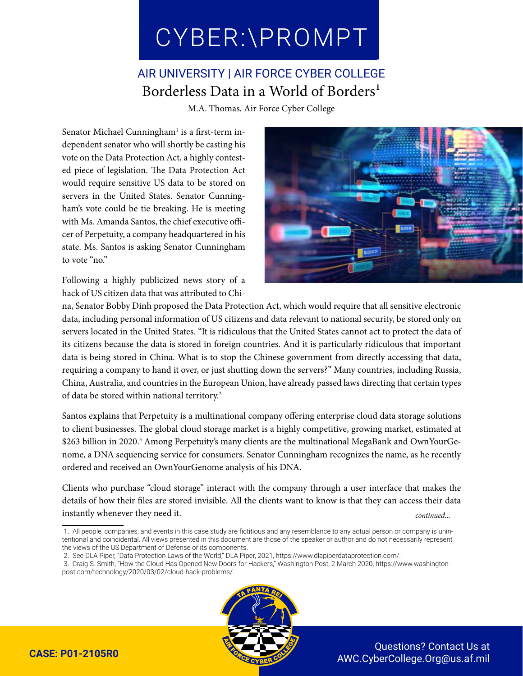## CYBER:\PROMPT CYBER:\PROMPT

## AIR UNIVERSITY | AIR FORCE CYBER COLLEGE Borderless Data in a World of Borders<sup>1</sup>

M.A. Thomas, Air Force Cyber College

Senator Michael Cunningham<sup>1</sup> is a first-term independent senator who will shortly be casting his vote on the Data Protection Act, a highly contested piece of legislation. The Data Protection Act would require sensitive US data to be stored on servers in the United States. Senator Cunningham's vote could be tie breaking. He is meeting with Ms. Amanda Santos, the chief executive officer of Perpetuity, a company headquartered in his state. Ms. Santos is asking Senator Cunningham to vote "no."

Following a highly publicized news story of a hack of US citizen data that was attributed to Chi-



na, Senator Bobby Dinh proposed the Data Protection Act, which would require that all sensitive electronic data, including personal information of US citizens and data relevant to national security, be stored only on servers located in the United States. "It is ridiculous that the United States cannot act to protect the data of its citizens because the data is stored in foreign countries. And it is particularly ridiculous that important data is being stored in China. What is to stop the Chinese government from directly accessing that data, requiring a company to hand it over, or just shutting down the servers?" Many countries, including Russia, China, Australia, and countries in the European Union, have already passed laws directing that certain types of data be stored within national territory.2

Santos explains that Perpetuity is a multinational company offering enterprise cloud data storage solutions to client businesses. The global cloud storage market is a highly competitive, growing market, estimated at \$263 billion in 2020.3 Among Perpetuity's many clients are the multinational MegaBank and OwnYourGenome, a DNA sequencing service for consumers. Senator Cunningham recognizes the name, as he recently ordered and received an OwnYourGenome analysis of his DNA.

Clients who purchase "cloud storage" interact with the company through a user interface that makes the details of how their files are stored invisible. All the clients want to know is that they can access their data instantly whenever they need it. *continued...*

- 1. All people, companies, and events in this case study are fictitious and any resemblance to any actual person or company is unintentional and coincidental. All views presented in this document are those of the speaker or author and do not necessarily represent the views of the US Department of Defense or its components.
- 2. See DLA Piper, "Data Protection Laws of the World," DLA Piper, 2021, https://www.dlapiperdataprotection.com/. 3. Craig S. Smith, "How the Cloud Has Opened New Doors for Hackers," Washington Post, 2 March 2020, https://www.washingtonpost.com/technology/2020/03/02/cloud-hack-problems/.